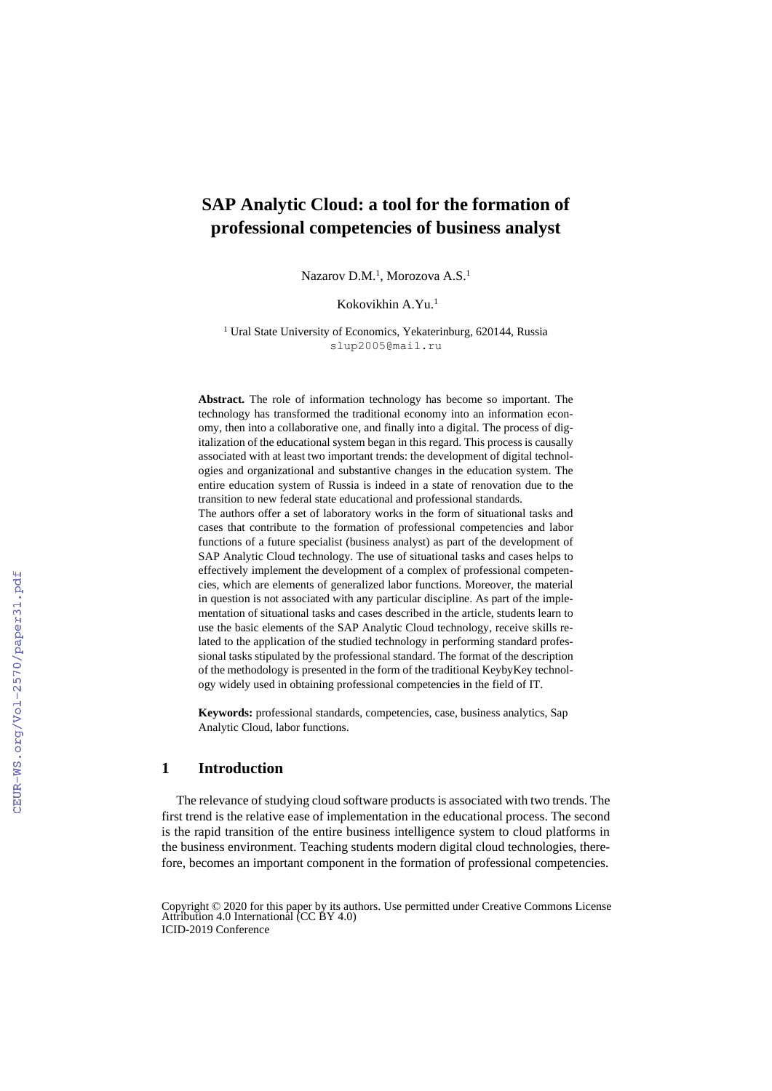# **SAP Analytic Cloud: a tool for the formation of professional competencies of business analyst**

Nazarov D.M.<sup>1</sup>, Morozova A.S.<sup>1</sup>

# Kokovikhin A.Yu.<sup>1</sup>

<sup>1</sup> Ural State University of Economics, Yekaterinburg, 620144, Russia slup2005@mail.ru

**Abstract.** The role of information technology has become so important. The technology has transformed the traditional economy into an information economy, then into a collaborative one, and finally into a digital. The process of digitalization of the educational system began in this regard. This process is causally associated with at least two important trends: the development of digital technologies and organizational and substantive changes in the education system. The entire education system of Russia is indeed in a state of renovation due to the transition to new federal state educational and professional standards. The authors offer a set of laboratory works in the form of situational tasks and

cases that contribute to the formation of professional competencies and labor functions of a future specialist (business analyst) as part of the development of SAP Analytic Cloud technology. The use of situational tasks and cases helps to effectively implement the development of a complex of professional competencies, which are elements of generalized labor functions. Moreover, the material in question is not associated with any particular discipline. As part of the implementation of situational tasks and cases described in the article, students learn to use the basic elements of the SAP Analytic Cloud technology, receive skills related to the application of the studied technology in performing standard professional tasks stipulated by the professional standard. The format of the description of the methodology is presented in the form of the traditional KeybyKey technology widely used in obtaining professional competencies in the field of IT.

**Keywords:** professional standards, competencies, case, business analytics, Sap Analytic Cloud, labor functions.

### **1 Introduction**

The relevance of studying cloud software products is associated with two trends. The first trend is the relative ease of implementation in the educational process. The second is the rapid transition of the entire business intelligence system to cloud platforms in the business environment. Teaching students modern digital cloud technologies, therefore, becomes an important component in the formation of professional competencies.

Copyright © 2020 for this paper by its authors. Use permitted under Creative Commons License Attribution 4.0 International (CC BY 4.0) ICID-2019 Conference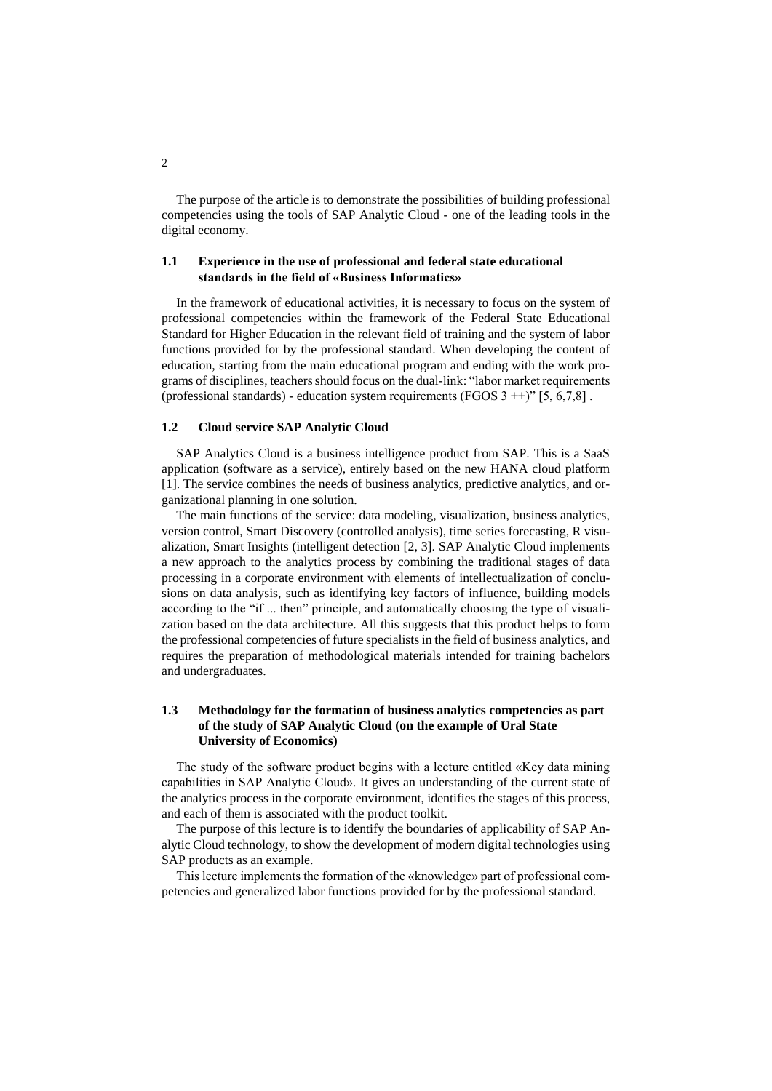The purpose of the article is to demonstrate the possibilities of building professional competencies using the tools of SAP Analytic Cloud - one of the leading tools in the digital economy.

## **1.1 Experience in the use of professional and federal state educational standards in the field of «Business Informatics»**

In the framework of educational activities, it is necessary to focus on the system of professional competencies within the framework of the Federal State Educational Standard for Higher Education in the relevant field of training and the system of labor functions provided for by the professional standard. When developing the content of education, starting from the main educational program and ending with the work programs of disciplines, teachers should focus on the dual-link: "labor market requirements (professional standards) - education system requirements (FGOS  $3 +$ )" [5, 6,7,8].

#### **1.2 Cloud service SAP Analytic Cloud**

SAP Analytics Cloud is a business intelligence product from SAP. This is a SaaS application (software as a service), entirely based on the new HANA cloud platform [1]. The service combines the needs of business analytics, predictive analytics, and organizational planning in one solution.

The main functions of the service: data modeling, visualization, business analytics, version control, Smart Discovery (controlled analysis), time series forecasting, R visualization, Smart Insights (intelligent detection [2, 3]. SAP Analytic Cloud implements a new approach to the analytics process by combining the traditional stages of data processing in a corporate environment with elements of intellectualization of conclusions on data analysis, such as identifying key factors of influence, building models according to the "if ... then" principle, and automatically choosing the type of visualization based on the data architecture. All this suggests that this product helps to form the professional competencies of future specialists in the field of business analytics, and requires the preparation of methodological materials intended for training bachelors and undergraduates.

# **1.3 Methodology for the formation of business analytics competencies as part of the study of SAP Analytic Cloud (on the example of Ural State University of Economics)**

The study of the software product begins with a lecture entitled «Key data mining capabilities in SAP Analytic Cloud». It gives an understanding of the current state of the analytics process in the corporate environment, identifies the stages of this process, and each of them is associated with the product toolkit.

The purpose of this lecture is to identify the boundaries of applicability of SAP Analytic Cloud technology, to show the development of modern digital technologies using SAP products as an example.

This lecture implements the formation of the «knowledge» part of professional competencies and generalized labor functions provided for by the professional standard.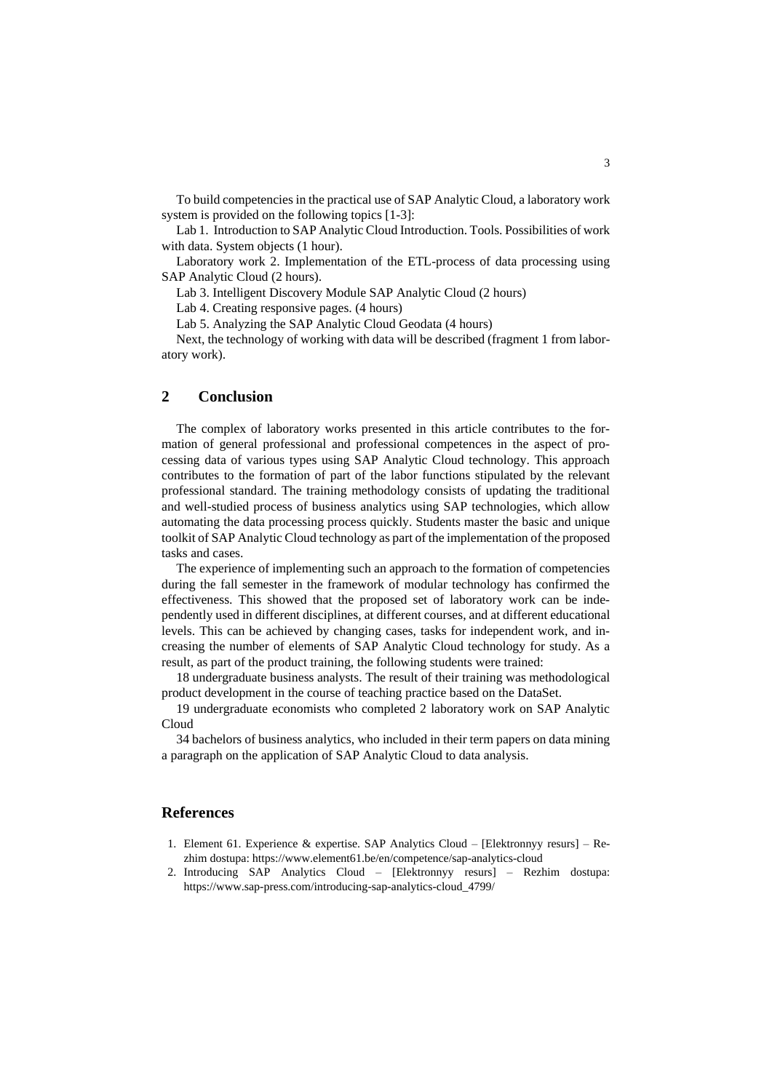To build competencies in the practical use of SAP Analytic Cloud, a laboratory work system is provided on the following topics [1-3]:

Lab 1. Introduction to SAP Analytic Cloud Introduction. Tools. Possibilities of work with data. System objects (1 hour).

Laboratory work 2. Implementation of the ETL-process of data processing using SAP Analytic Cloud (2 hours).

Lab 3. Intelligent Discovery Module SAP Analytic Cloud (2 hours)

Lab 4. Creating responsive pages. (4 hours)

Lab 5. Analyzing the SAP Analytic Cloud Geodata (4 hours)

Next, the technology of working with data will be described (fragment 1 from laboratory work).

# **2 Conclusion**

The complex of laboratory works presented in this article contributes to the formation of general professional and professional competences in the aspect of processing data of various types using SAP Analytic Cloud technology. This approach contributes to the formation of part of the labor functions stipulated by the relevant professional standard. The training methodology consists of updating the traditional and well-studied process of business analytics using SAP technologies, which allow automating the data processing process quickly. Students master the basic and unique toolkit of SAP Analytic Cloud technology as part of the implementation of the proposed tasks and cases.

The experience of implementing such an approach to the formation of competencies during the fall semester in the framework of modular technology has confirmed the effectiveness. This showed that the proposed set of laboratory work can be independently used in different disciplines, at different courses, and at different educational levels. This can be achieved by changing cases, tasks for independent work, and increasing the number of elements of SAP Analytic Cloud technology for study. As a result, as part of the product training, the following students were trained:

18 undergraduate business analysts. The result of their training was methodological product development in the course of teaching practice based on the DataSet.

19 undergraduate economists who completed 2 laboratory work on SAP Analytic Cloud

34 bachelors of business analytics, who included in their term papers on data mining a paragraph on the application of SAP Analytic Cloud to data analysis.

## **References**

- 1. Element 61. Experience & expertise. SAP Analytics Cloud [Elektronnyy resurs] Rezhim dostupa: https://www.element61.be/en/competence/sap-analytics-cloud
- 2. Introducing SAP Analytics Cloud [Elektronnyy resurs] Rezhim dostupa: https://www.sap-press.com/introducing-sap-analytics-cloud\_4799/